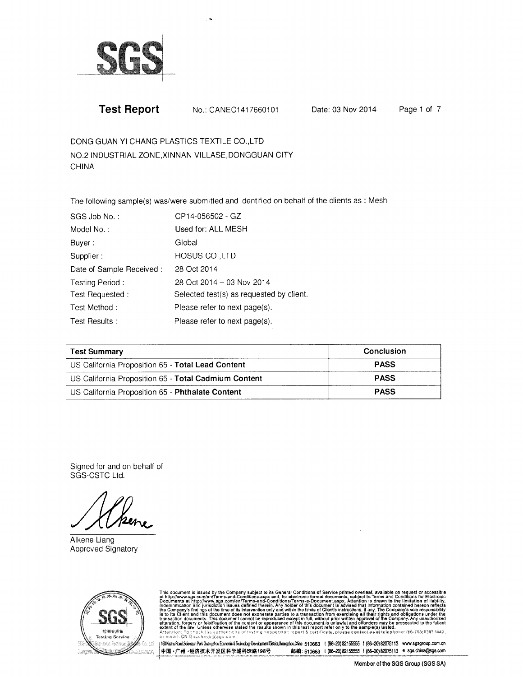

No.: CANEC1417660101

Date: 03 Nov 2014

Page 1 of 7

DONG GUAN YI CHANG PLASTICS TEXTILE CO., LTD NO.2 INDUSTRIAL ZONE, XINNAN VILLASE, DONGGUAN CITY **CHINA** 

The following sample(s) was/were submitted and identified on behalf of the clients as : Mesh

| SGS Job No.:             | CP14-056502 - GZ                         |
|--------------------------|------------------------------------------|
| Model No.:               | Used for: ALL MESH                       |
| Buyer:                   | Global                                   |
| Supplier:                | <b>HOSUS CO.,LTD</b>                     |
| Date of Sample Received: | 28 Oct 2014                              |
| Testing Period:          | 28 Oct 2014 - 03 Nov 2014                |
| Test Requested:          | Selected test(s) as requested by client. |
| Test Method:             | Please refer to next page(s).            |
| Test Results:            | Please refer to next page(s).            |

| <b>Test Summary</b>                                  | <b>Conclusion</b> |
|------------------------------------------------------|-------------------|
| US California Proposition 65 - Total Lead Content    | <b>PASS</b>       |
| US California Proposition 65 - Total Cadmium Content | <b>PASS</b>       |
| US California Proposition 65 - Phthalate Content     | <b>PASS</b>       |

Signed for and on behalf of SGS-CSTC Ltd.

Alkene Liang Approved Signatory



This document is issued by the Company subject to its General Conditions of Service printed overleaf, available on request or accessible at http://www.sgs.com/en/Terms-and-Conditions.aspx and, for electronic format docume

[98 Kezhu Road,Soientech Park Guangzhou Economic & Technology Development District,Guangzhou Chine 510663 t (86-20) 82155555 f (86-20) 82075113 www.sgsgroup.com.cn 中国·广州·经济技术开发区科学城科珠路198号 邮编: 510663 t (86-20) 82155555 f (86-20) 82075113 e sgs.china@sgs.com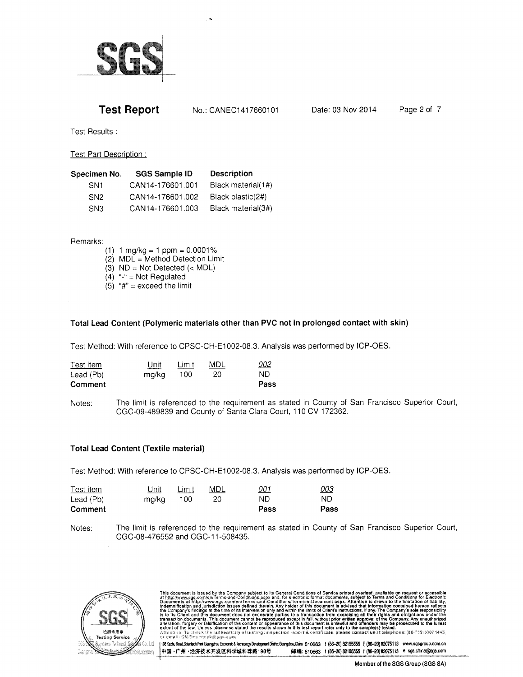

Test Results :

Test Part Description :

| Specimen No.    | <b>SGS Sample ID</b> | <b>Description</b> |
|-----------------|----------------------|--------------------|
| SN <sub>1</sub> | CAN14-176601.001     | Black material(1#) |
| SN <sub>2</sub> | CAN14-176601.002     | Black plastic(2#)  |
| SN <sub>3</sub> | CAN14-176601.003     | Black material(3#) |

#### Remarks:

- 
- (1)  $1 \text{ mg/kg} = 1 \text{ ppm} = 0.0001\%$ <br>(2) MDL = Method Detection Limit
- (3)  $ND = Not Detection (< MDL)$
- $(4)$  "-" = Not Regulated
- (5)  $4^{\circ}$  = exceed the limit

### Total Lead Content (Polymeric materials other than PVG not in prolonged contact with skin)

Test Method: With reference to CPSC-CH-E1002-08.3. Analysis was performed by ICP-OES.

| Comment   |       |       |     | Pass       |
|-----------|-------|-------|-----|------------|
| Lead (Pb) | mg/kg | 100   | 20  | ND.        |
| Test item | Unit  | Limit | MDL | <u>002</u> |

Notes; The limit is referenced to the requirement as stated in County of San Francisco Superior Court, CGC-09-489839 and County of Santa Clara Court, 1 10 CV 172362.

### Total Lead Content (Textile material)

Test Method: With reference to CPSC-CH-E1002-08.3. Analysis was performed by ICP-OES.

| Test item | Unit  | Limit | MDL | <u>001</u> | <u>003</u> |
|-----------|-------|-------|-----|------------|------------|
| Lead (Pb) | ma/ka | 100   | 20  | ND.        | ND         |
| Comment   |       |       |     | Pass       | Pass       |

Notes: The limit is referenced to the requirement as stated in County of San Francisco Superior Court, CGC-08-476552 and CGC-1 1-508435.



This document is issued by the Company subject to its General Conditions of Service printed overleaf, available on request or accessible<br>at http://www.sgs.com/en/Terms-and-Conditions.aspx and, for electronic forms document

r ll\$lGdljEtsd,Stutdhgs\$sEsui8l6dndryhdryEl\$\*ites\$ul0ie 510663 I {8S20)821S556 I lB6-20}8e075113 ffi.8{\$grcup.com.cn # 510663 t (86-20) 82155555 f (86-20) 82075113 e sgs.china@sgs.com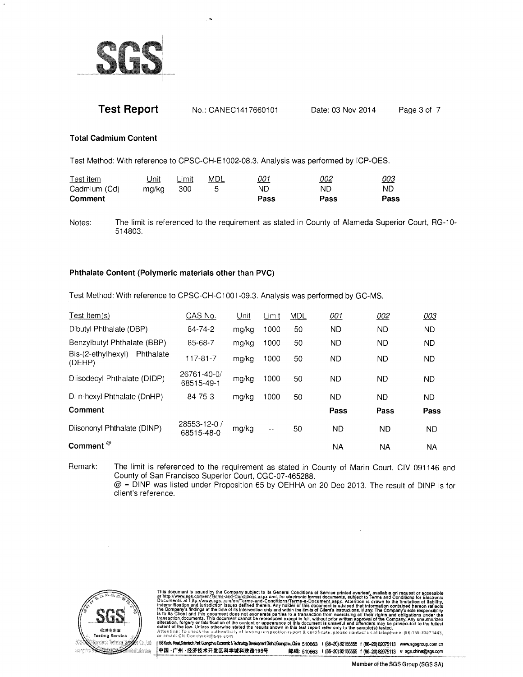

| <b>Test Report</b> | No.: CANEC1417660101 | Date: 03 Nov 2014 | Page 3 of 7 |
|--------------------|----------------------|-------------------|-------------|
|--------------------|----------------------|-------------------|-------------|

#### **Total Cadmium Content**

Test Method: With reference to CPSC-CH-E1002-08.3. Analysis was performed by ICP-OES.

| Test item    | Unit  | Limit | MDL | <u>001</u> | <u>002</u> | <u>003</u> |
|--------------|-------|-------|-----|------------|------------|------------|
| Cadmium (Cd) | ma/ka | 300   |     | ND         | ND         | ND         |
| Comment      |       |       |     | Pass       | Pass       | Pass       |

Notes: The limit is referenced to the requirement as stated in County of Alameda Superior Court, RG-10- 51 4803.

#### Phthalate Content (Polymeric materials other than PVC)

Test Method: With reference to CPSC-CH-C1001-09.3. Analysis was performed by GC-MS.

| CAS No.                    | Unit  | Limit  | <b>MDL</b> | 001  | 002       | 003       |
|----------------------------|-------|--------|------------|------|-----------|-----------|
| 84-74-2                    | mg/kg | 1000   | 50         | ND.  | <b>ND</b> | ND.       |
| 85-68-7                    | mg/kg | 1000   | 50         | ND.  | <b>ND</b> | ND.       |
| 117-81-7                   | ma/ka | 1000   | 50         | ND.  | ND        | ND.       |
| 26761-40-0/<br>68515-49-1  | mg/kg | 1000   | 50         | ND.  | <b>ND</b> | <b>ND</b> |
| 84-75-3                    | mg/kg | 1000   | 50         | ND.  | ND        | <b>ND</b> |
|                            |       |        |            | Pass | Pass      | Pass      |
| 28553-12-0 /<br>68515-48-0 | mg/kg | $-\,-$ | 50         | ND.  | ND.       | <b>ND</b> |
|                            |       |        |            | NA   | NA.       | ΝA        |
|                            |       |        |            |      |           |           |

Remark; The limit is referenced to the requirement as stated in County of Marin Court, CIV 091146 and County of San Francisco Superior Court, CGC-07-465288. @ = DINP was listed under Proposition 65 by OEHHA on 20 Dec 2013. The result of DINP is for client's reference.



This document is issued by the Company subject to its General Conditions of Service printed overleaf, available on request or accessible<br>at http://www.sgs.com/en/Terms-and-Conditions.aspx and, for electronic format documen

|1981&zbuRoed,SoembchPantGusepotouEconomic&TechnologyDevelopmentDishictGuangzbu(China 510663 t (86-20)B2155555 f (86-20)B2075113 www.sqsgroup.com.cn<br>|中国·广州·经济技术开发区科学城科珠路198号 (66-20)B2155555 f (86-20)B20 #邮编: 510663 t (86-20) 82155555 f (86-20) 82075113 e sgs.china@sgs.com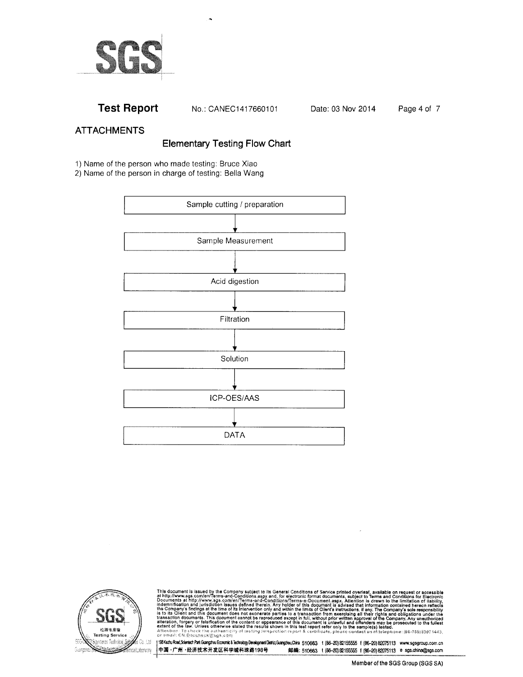

No.: CANEC1417660101

Date: 03 Nov 2014

Page 4 of 7

# **ATTACHMENTS**

# **Elementary Testing Flow Chart**

1) Name of the person who made testing: Bruce Xiao

2) Name of the person in charge of testing: Bella Wang





This document is issued by the Company subject to its General Conditions of Service printed overleaf, available on request or accessible at http://www.sgs.com/en/Terms-and-Conditions.aspx and, for electronic format docume

198 Keztu Road Scientech Park Guargzhou Economic & Technology Development District Guargzhou China 510663 t (86-20) 82155555 f (86-20) 82075113 www.sgsgroup.com.cn 中国·广州·经济技术开发区科学城科珠路198号 邮编: 510663 t (86-20) 82155555 f (86-20) 82075113 e sgs.china@sgs.com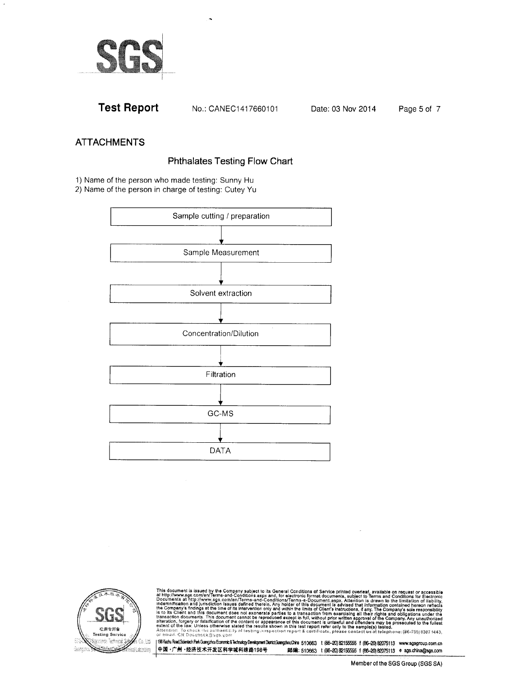

No.: CANEC1417660101

Date: 03 Nov 2014

Page 5 of 7

### **ATTACHMENTS**

## **Phthalates Testing Flow Chart**

1) Name of the person who made testing: Sunny Hu

2) Name of the person in charge of testing: Cutey Yu





This document is issued by the Company subject to its General Conditions of Service printed overleaf, available on request or accessible at http://www.sgs.com/en/Tertions.aspx.and, for electronic format documents, subject

1981 Kedu Road Scientech Park Guergohou Economic & Technology Development District Guergohou Chines 510663 t (86-20) 82155555 f (86-20) 82075113 www.sgsgroup.com.cn 中国·广州·经济技术开发区科学城科珠路198号 邮编: 510663 t (86-20) 82155555 f (86-20) 82075113 e sgs.china@sgs.com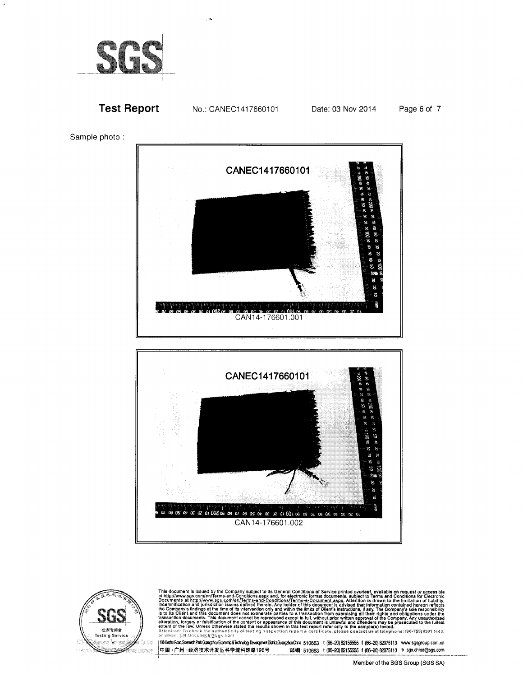

Page 6 of 7







This document is issued by the Company subject to its General Conditions of Service printed overleaf, available on request or accessible at http://www.sgs.com/en/Terms-and-Conditions.aspx and, for electronic format docume

(198 Keztu Road, Scientech Park Guangzhou Economic & Technology Development District Guangzhou Chine 510663 1 (66-20) 82155555 1 (66-20) 82075113 www.sgsgroup.com.cn 中国·广州·经济技术开发区科学城科珠路198号 邮编: 510663 t (86-20)82155555 f (86-20)82075113 @ sgs.china@sgs.com